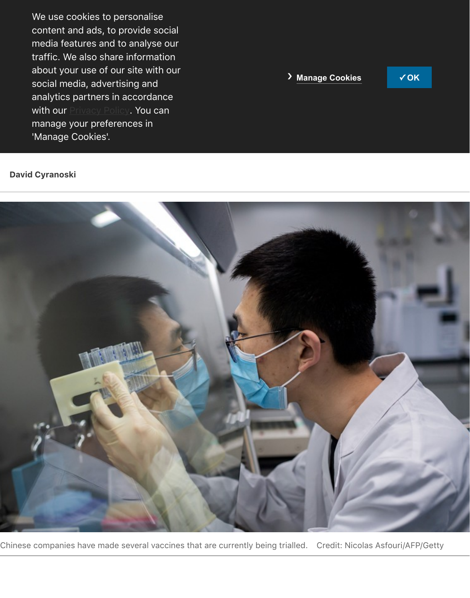**Companies could struggle to enroll enough trial participants, or gather enough trial participants, or gather e** data to convince the shots work. 'Manage Cookies'. analytics partners in accordance manage your preferences in 'Manage Cookies'.

#### **David Cyranoski**



Chinese companies have made several vaccines that are currently being trialled. Credit: Nicolas Asf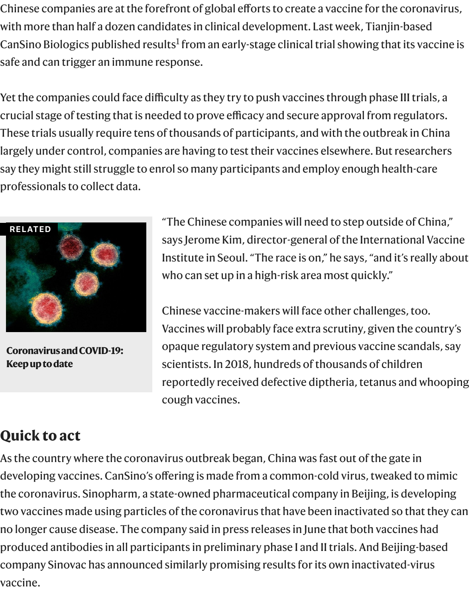Yet the companies could face difficulty as they try to push vaccines through pha crucial stage of testing that is needed to prove efficacy and secure approval from These trials usually require tens of t[ho](#page-4-0)usands of participants, and with the outbi largely under control, companies are having to test their vaccines elsewhere. Bu say they might still struggle to enrol so many participants and employ enough h professionals to collect data.



**Coronavirus and COVID-19: Keep up to date**

"The Chinese companies will need to step outs says Jerome Kim, director-general of the Interr Institute in Seoul. "The race is on," he says, "and who can set up in a high-risk area most quickly.

Chinese vaccine-makers will face other challen Vaccines will probably face extra scrutiny, give opaque regulatory system and previous vaccine scientists. In 2018, hundreds of thousands of cl reportedly received defective diptheria, tetanus cough vaccines.

# **Quick to act**

[As the country where the coro](https://www.nature.com/collections/aijdgieecb/)navirus outbreak began, China was fast out of the developing vaccines. CanSino's offering is made from a common-cold virus, twe the coronavirus. Sinopharm, a state-owned pharmaceutical company in Beijing, two vaccines made using particles of the coronavirus that have been inactivated no longer cause disease. The company said in press releases in June that both va produced antibodies in all participants in preliminary phase I and II trials. And B company Sinovac has announced similarly promising results for its own inactiva vaccine.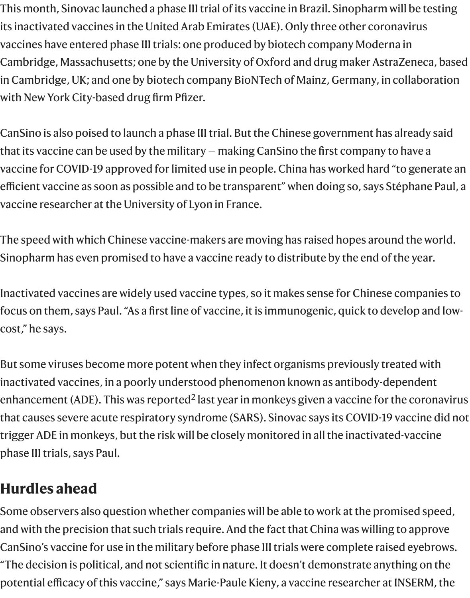with New York City-based drug firm Pfizer.

CanSino is also poised to launch a phase III trial. But the Chinese government ha that its vaccine can be used by the military  $-$  making CanSino the first company vaccine for COVID-19 approved for limited use in people. China has worked hard efficient vaccine as soon as possible and to be transparent" when doing so, says Stéphane Paul, and vaccine researcher at the University of Lyon in France.

The speed with which Chinese vaccine-makers are moving has raised hopes arou Sinopharm has even promised to have a vaccine ready to distribute by the end o

Inactivated vaccines are widely used vaccine types, so it makes sense for Chines focus on them, says Paul. "As a first line of vaccine, it is immunogenic, quick to de cost," he says.

But some viruses become more potent when they infect organisms previously treated with inactivated vaccines, in a poorly understood phenomenon known as antibody-d enhancement (ADE). This was reported<sup>2</sup> last year in monkeys given a vaccine for that causes severe acute respiratory syndrome (SARS). Sinovac says its COVID-19 trigger ADE in monkeys, but the risk will be closely monitored in all the inactivat phase III trials, says Paul.

# **Hurdles ahead**

Some observers also question whether companies will be able to work at the promised and with the precision that such trials require. And the fact that China was willin CanSino's vaccine for use in the military before phase III trials were complete rai "The decision is political, and not scientific in nature. It doesn't demonstrate any potential efficacy of this vaccine," says Marie-Paule Kieny, a vaccine researcher a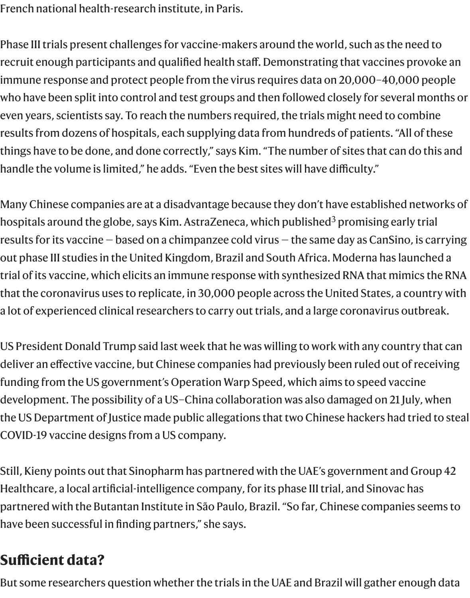who have been split into control and test groups and then followed closely for se even years, scientists say. To reach the numbers required, the trials might need t results from dozens of hospitals, each supplying data from hundreds of patients things have to be done, and done correctly," says Kim. "The number of sites that handle the volume is limited," he adds. "Even the best sites will have difficulty."

Many Chinese companies are at a disadvantage because they don't have establis hospitals around the globe, says Kim. AstraZeneca, which published $^3$  promising results for its vaccine — based on a chimpanzee cold virus — the same day as Can out phase III studies in the United Kingdom, Brazil and South Africa. Moderna ha trial of its vaccine, which elicits an immune response with synthesized RNA that that the coronavirus uses to replicate, in 30,000 people across the United States a lot of experienced clinical researchers to carry out trials, and a lar[ge](#page-4-1) coronavir

US President Donald Trump said last week that he was willing to work with any count deliver an effective vaccine, but Chinese companies had previously been ruled o funding from the US government's Operation Warp Speed, which aims to speed development. The possibility of a US-China collaboration was also damaged on the US Department of Justice made public allegations that two Chinese hackers had COVID-19 vaccine designs from a US company.

Still, Kieny points out that Sinopharm has partnered with the UAE's government Healthcare, a local artificial-intelligence company, for its phase III trial, and Sino partnered with the Butantan Institute in São Paulo, Brazil. "So far, Chinese comp have been successful in finding partners," she says.

# **Sufficient data?**

But some researchers question whether the trials in the UAE and Brazil will gathe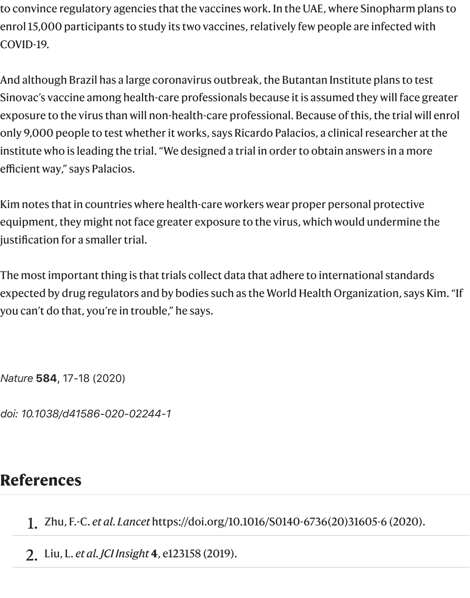to convince regulatory agencies that the vaccines work. In the UAE, where Sinopharm plans to enrol 15,000 participants to study its two vaccines, relatively few people are infected with COVID-19.

And although Brazil has a large coronavirus outbreak, the Butantan Institute plans to test Sinovac's vaccine among health-care professionals because it is assumed they will face greater exposure to the virus than will non-health-care professional. Because of this, the trial will enrol only 9,000 people to test whether it works, says Ricardo Palacios, a clinical researcher at the institute who is leading the trial. "We designed a trial in order to obtain answers in a more efficient way," says Palacios.

Kim notes that in countries where health-care workers wear proper personal protective equipment, they might not face greater exposure to the virus, which would undermine the justification for a smaller trial.

The most important thing is that trials collect data that adhere to international standards expected by drug regulators and by bodies such as the World Health Organization, says Kim. "If you can't do that, you're in trouble," he says.

*Nature* **584**, 17-18 (2020)

*doi: 10.1038/d41586-020-02244-1*

## **References**

<span id="page-4-0"></span>1. Zhu, F.-C. *et al. Lancet* https://doi.org/10.1016/S0140-6736(20)31605-6 (2020).

<span id="page-4-1"></span>2. Liu, L. *et al. JCI Insight* **4**, e123158 (2019).